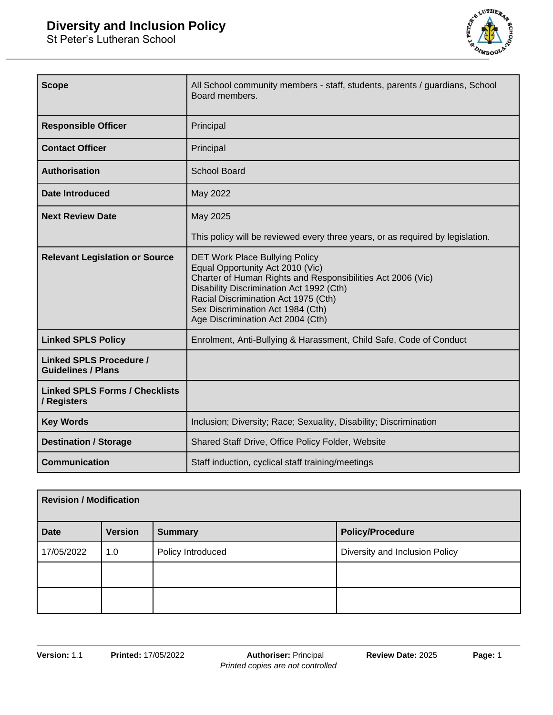St Peter's Lutheran School



| <b>Scope</b>                                                | All School community members - staff, students, parents / guardians, School<br>Board members.                                                                                                                                                                                                          |  |
|-------------------------------------------------------------|--------------------------------------------------------------------------------------------------------------------------------------------------------------------------------------------------------------------------------------------------------------------------------------------------------|--|
| <b>Responsible Officer</b>                                  | Principal                                                                                                                                                                                                                                                                                              |  |
| <b>Contact Officer</b>                                      | Principal                                                                                                                                                                                                                                                                                              |  |
| <b>Authorisation</b>                                        | School Board                                                                                                                                                                                                                                                                                           |  |
| <b>Date Introduced</b>                                      | May 2022                                                                                                                                                                                                                                                                                               |  |
| <b>Next Review Date</b>                                     | May 2025                                                                                                                                                                                                                                                                                               |  |
|                                                             | This policy will be reviewed every three years, or as required by legislation.                                                                                                                                                                                                                         |  |
| <b>Relevant Legislation or Source</b>                       | <b>DET Work Place Bullying Policy</b><br>Equal Opportunity Act 2010 (Vic)<br>Charter of Human Rights and Responsibilities Act 2006 (Vic)<br>Disability Discrimination Act 1992 (Cth)<br>Racial Discrimination Act 1975 (Cth)<br>Sex Discrimination Act 1984 (Cth)<br>Age Discrimination Act 2004 (Cth) |  |
| <b>Linked SPLS Policy</b>                                   | Enrolment, Anti-Bullying & Harassment, Child Safe, Code of Conduct                                                                                                                                                                                                                                     |  |
| <b>Linked SPLS Procedure /</b><br><b>Guidelines / Plans</b> |                                                                                                                                                                                                                                                                                                        |  |
| <b>Linked SPLS Forms / Checklists</b><br>/ Registers        |                                                                                                                                                                                                                                                                                                        |  |
| <b>Key Words</b>                                            | Inclusion; Diversity; Race; Sexuality, Disability; Discrimination                                                                                                                                                                                                                                      |  |
| <b>Destination / Storage</b>                                | Shared Staff Drive, Office Policy Folder, Website                                                                                                                                                                                                                                                      |  |
| <b>Communication</b>                                        | Staff induction, cyclical staff training/meetings                                                                                                                                                                                                                                                      |  |

| <b>Revision / Modification</b> |                |                   |                                |
|--------------------------------|----------------|-------------------|--------------------------------|
| <b>Date</b>                    | <b>Version</b> | <b>Summary</b>    | <b>Policy/Procedure</b>        |
| 17/05/2022                     | 1.0            | Policy Introduced | Diversity and Inclusion Policy |
|                                |                |                   |                                |
|                                |                |                   |                                |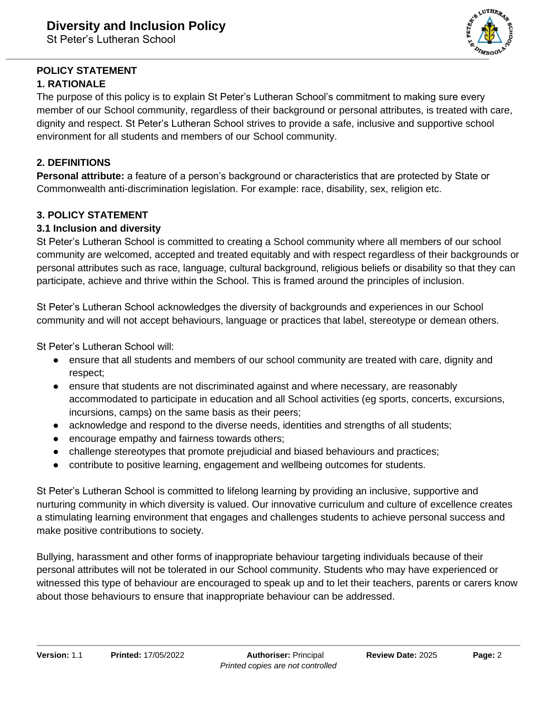

# **POLICY STATEMENT**

## **1. RATIONALE**

The purpose of this policy is to explain St Peter's Lutheran School's commitment to making sure every member of our School community, regardless of their background or personal attributes, is treated with care, dignity and respect. St Peter's Lutheran School strives to provide a safe, inclusive and supportive school environment for all students and members of our School community.

## **2. DEFINITIONS**

**Personal attribute:** a feature of a person's background or characteristics that are protected by State or Commonwealth anti-discrimination legislation. For example: race, disability, sex, religion etc.

## **3. POLICY STATEMENT**

## **3.1 Inclusion and diversity**

St Peter's Lutheran School is committed to creating a School community where all members of our school community are welcomed, accepted and treated equitably and with respect regardless of their backgrounds or personal attributes such as race, language, cultural background, religious beliefs or disability so that they can participate, achieve and thrive within the School. This is framed around the principles of inclusion.

St Peter's Lutheran School acknowledges the diversity of backgrounds and experiences in our School community and will not accept behaviours, language or practices that label, stereotype or demean others.

St Peter's Lutheran School will:

- ensure that all students and members of our school community are treated with care, dignity and respect;
- ensure that students are not discriminated against and where necessary, are reasonably accommodated to participate in education and all School activities (eg sports, concerts, excursions, incursions, camps) on the same basis as their peers;
- acknowledge and respond to the diverse needs, identities and strengths of all students;
- encourage empathy and fairness towards others;
- challenge stereotypes that promote prejudicial and biased behaviours and practices;
- contribute to positive learning, engagement and wellbeing outcomes for students.

St Peter's Lutheran School is committed to lifelong learning by providing an inclusive, supportive and nurturing community in which diversity is valued. Our innovative curriculum and culture of excellence creates a stimulating learning environment that engages and challenges students to achieve personal success and make positive contributions to society.

Bullying, harassment and other forms of inappropriate behaviour targeting individuals because of their personal attributes will not be tolerated in our School community. Students who may have experienced or witnessed this type of behaviour are encouraged to speak up and to let their teachers, parents or carers know about those behaviours to ensure that inappropriate behaviour can be addressed.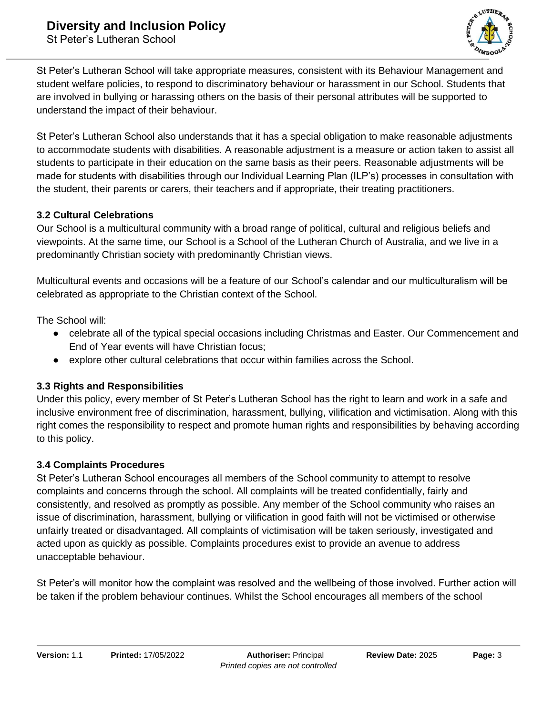

St Peter's Lutheran School will take appropriate measures, consistent with its Behaviour Management and student welfare policies, to respond to discriminatory behaviour or harassment in our School. Students that are involved in bullying or harassing others on the basis of their personal attributes will be supported to understand the impact of their behaviour.

St Peter's Lutheran School also understands that it has a special obligation to make reasonable adjustments to accommodate students with disabilities. A reasonable adjustment is a measure or action taken to assist all students to participate in their education on the same basis as their peers. Reasonable adjustments will be made for students with disabilities through our Individual Learning Plan (ILP's) processes in consultation with the student, their parents or carers, their teachers and if appropriate, their treating practitioners.

#### **3.2 Cultural Celebrations**

Our School is a multicultural community with a broad range of political, cultural and religious beliefs and viewpoints. At the same time, our School is a School of the Lutheran Church of Australia, and we live in a predominantly Christian society with predominantly Christian views.

Multicultural events and occasions will be a feature of our School's calendar and our multiculturalism will be celebrated as appropriate to the Christian context of the School.

The School will:

- celebrate all of the typical special occasions including Christmas and Easter. Our Commencement and End of Year events will have Christian focus;
- explore other cultural celebrations that occur within families across the School.

## **3.3 Rights and Responsibilities**

Under this policy, every member of St Peter's Lutheran School has the right to learn and work in a safe and inclusive environment free of discrimination, harassment, bullying, vilification and victimisation. Along with this right comes the responsibility to respect and promote human rights and responsibilities by behaving according to this policy.

#### **3.4 Complaints Procedures**

St Peter's Lutheran School encourages all members of the School community to attempt to resolve complaints and concerns through the school. All complaints will be treated confidentially, fairly and consistently, and resolved as promptly as possible. Any member of the School community who raises an issue of discrimination, harassment, bullying or vilification in good faith will not be victimised or otherwise unfairly treated or disadvantaged. All complaints of victimisation will be taken seriously, investigated and acted upon as quickly as possible. Complaints procedures exist to provide an avenue to address unacceptable behaviour.

St Peter's will monitor how the complaint was resolved and the wellbeing of those involved. Further action will be taken if the problem behaviour continues. Whilst the School encourages all members of the school